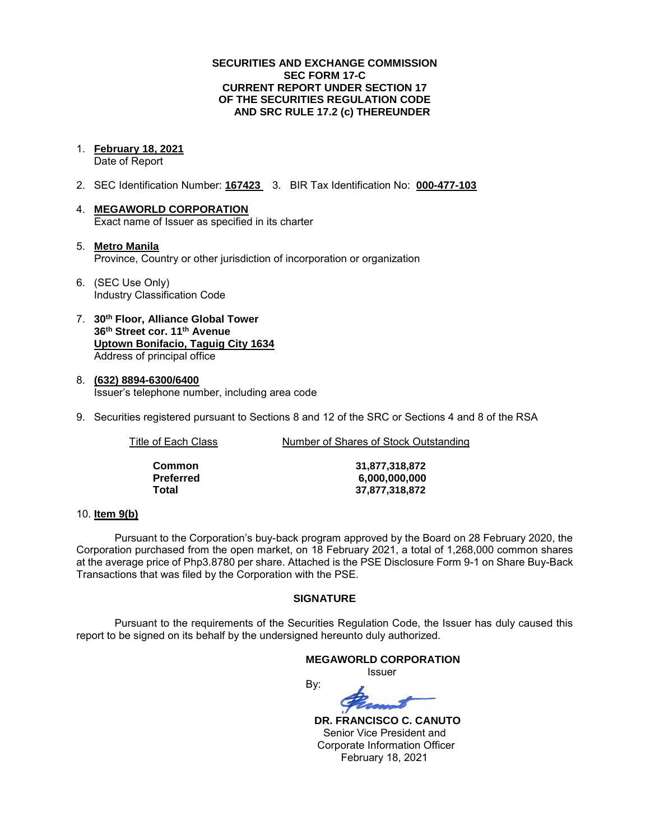### **SECURITIES AND EXCHANGE COMMISSION SEC FORM 17-C CURRENT REPORT UNDER SECTION 17 OF THE SECURITIES REGULATION CODE AND SRC RULE 17.2 (c) THEREUNDER**

1. **February 18, 2021** 

Date of Report

- 2. SEC Identification Number: **167423** 3. BIR Tax Identification No: **000-477-103**
- 4. **MEGAWORLD CORPORATION**  Exact name of Issuer as specified in its charter
- 5. **Metro Manila** Province, Country or other jurisdiction of incorporation or organization
- 6. (SEC Use Only) Industry Classification Code
- 7. **30th Floor, Alliance Global Tower 36th Street cor. 11th Avenue Uptown Bonifacio, Taguig City 1634** Address of principal office
- 8. **(632) 8894-6300/6400**  Issuer's telephone number, including area code
- 9. Securities registered pursuant to Sections 8 and 12 of the SRC or Sections 4 and 8 of the RSA

Title of Each Class Number of Shares of Stock Outstanding

| Common    | 31,877,318,872 |
|-----------|----------------|
| Preferred | 6,000,000,000  |
| Total     | 37,877,318,872 |

### 10. **Item 9(b)**

Pursuant to the Corporation's buy-back program approved by the Board on 28 February 2020, the Corporation purchased from the open market, on 18 February 2021, a total of 1,268,000 common shares at the average price of Php3.8780 per share. Attached is the PSE Disclosure Form 9-1 on Share Buy-Back Transactions that was filed by the Corporation with the PSE.

### **SIGNATURE**

Pursuant to the requirements of the Securities Regulation Code, the Issuer has duly caused this report to be signed on its behalf by the undersigned hereunto duly authorized.

### **MEGAWORLD CORPORATION**

*<u>Issuer</u> Issuer Issuer* 

By:

 **DR. FRANCISCO C. CANUTO**  Senior Vice President and Corporate Information Officer February 18, 2021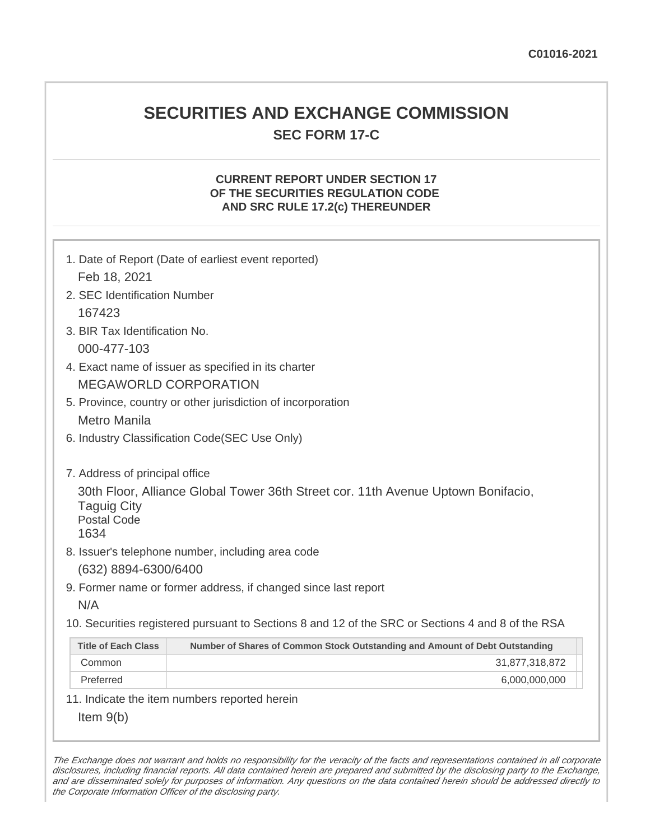# **SECURITIES AND EXCHANGE COMMISSION SEC FORM 17-C**

# **CURRENT REPORT UNDER SECTION 17 OF THE SECURITIES REGULATION CODE AND SRC RULE 17.2(c) THEREUNDER**

| 1. Date of Report (Date of earliest event reported)<br>Feb 18, 2021                                                                                                    |                                                                                                   |  |  |  |  |
|------------------------------------------------------------------------------------------------------------------------------------------------------------------------|---------------------------------------------------------------------------------------------------|--|--|--|--|
| 2. SEC Identification Number                                                                                                                                           |                                                                                                   |  |  |  |  |
| 167423                                                                                                                                                                 |                                                                                                   |  |  |  |  |
| 3. BIR Tax Identification No.                                                                                                                                          |                                                                                                   |  |  |  |  |
| 000-477-103                                                                                                                                                            |                                                                                                   |  |  |  |  |
| 4. Exact name of issuer as specified in its charter                                                                                                                    |                                                                                                   |  |  |  |  |
| <b>MEGAWORLD CORPORATION</b>                                                                                                                                           |                                                                                                   |  |  |  |  |
| 5. Province, country or other jurisdiction of incorporation                                                                                                            |                                                                                                   |  |  |  |  |
| <b>Metro Manila</b>                                                                                                                                                    |                                                                                                   |  |  |  |  |
| 6. Industry Classification Code(SEC Use Only)                                                                                                                          |                                                                                                   |  |  |  |  |
| 7. Address of principal office<br>30th Floor, Alliance Global Tower 36th Street cor. 11th Avenue Uptown Bonifacio,<br><b>Taguig City</b><br><b>Postal Code</b><br>1634 |                                                                                                   |  |  |  |  |
| 8. Issuer's telephone number, including area code                                                                                                                      |                                                                                                   |  |  |  |  |
| (632) 8894-6300/6400                                                                                                                                                   |                                                                                                   |  |  |  |  |
| 9. Former name or former address, if changed since last report                                                                                                         |                                                                                                   |  |  |  |  |
| N/A                                                                                                                                                                    |                                                                                                   |  |  |  |  |
|                                                                                                                                                                        | 10. Securities registered pursuant to Sections 8 and 12 of the SRC or Sections 4 and 8 of the RSA |  |  |  |  |
| <b>Title of Each Class</b>                                                                                                                                             | Number of Shares of Common Stock Outstanding and Amount of Debt Outstanding                       |  |  |  |  |
| Common                                                                                                                                                                 | 31,877,318,872                                                                                    |  |  |  |  |
| Preferred                                                                                                                                                              | 6,000,000,000                                                                                     |  |  |  |  |
|                                                                                                                                                                        | 11. Indicate the item numbers reported herein                                                     |  |  |  |  |
| Item $9(b)$                                                                                                                                                            |                                                                                                   |  |  |  |  |

The Exchange does not warrant and holds no responsibility for the veracity of the facts and representations contained in all corporate disclosures, including financial reports. All data contained herein are prepared and submitted by the disclosing party to the Exchange, and are disseminated solely for purposes of information. Any questions on the data contained herein should be addressed directly to the Corporate Information Officer of the disclosing party.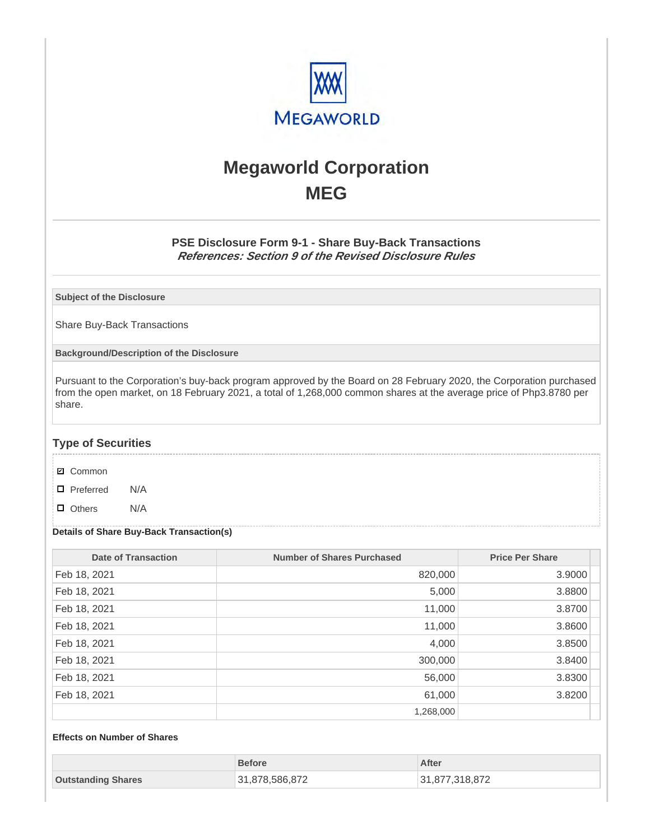

# **Megaworld Corporation MEG**

## **PSE Disclosure Form 9-1 - Share Buy-Back Transactions References: Section 9 of the Revised Disclosure Rules**

**Subject of the Disclosure**

Share Buy-Back Transactions

**Background/Description of the Disclosure**

Pursuant to the Corporation's buy-back program approved by the Board on 28 February 2020, the Corporation purchased from the open market, on 18 February 2021, a total of 1,268,000 common shares at the average price of Php3.8780 per share.

### **Type of Securities**

- **☑** Common
- □ Preferred N/A
- D Others N/A

#### **Details of Share Buy-Back Transaction(s)**

| <b>Date of Transaction</b> | <b>Number of Shares Purchased</b> | <b>Price Per Share</b> |
|----------------------------|-----------------------------------|------------------------|
| Feb 18, 2021               | 820,000                           | 3.9000                 |
| Feb 18, 2021               | 5,000                             | 3.8800                 |
| Feb 18, 2021               | 11,000                            | 3.8700                 |
| Feb 18, 2021               | 11,000                            | 3.8600                 |
| Feb 18, 2021               | 4,000                             | 3.8500                 |
| Feb 18, 2021               | 300,000                           | 3.8400                 |
| Feb 18, 2021               | 56,000                            | 3.8300                 |
| Feb 18, 2021               | 61,000                            | 3.8200                 |
|                            | 1,268,000                         |                        |

### **Effects on Number of Shares**

|                           | <b>Before</b>  | After          |
|---------------------------|----------------|----------------|
| <b>Outstanding Shares</b> | 31,878,586,872 | 31,877,318,872 |